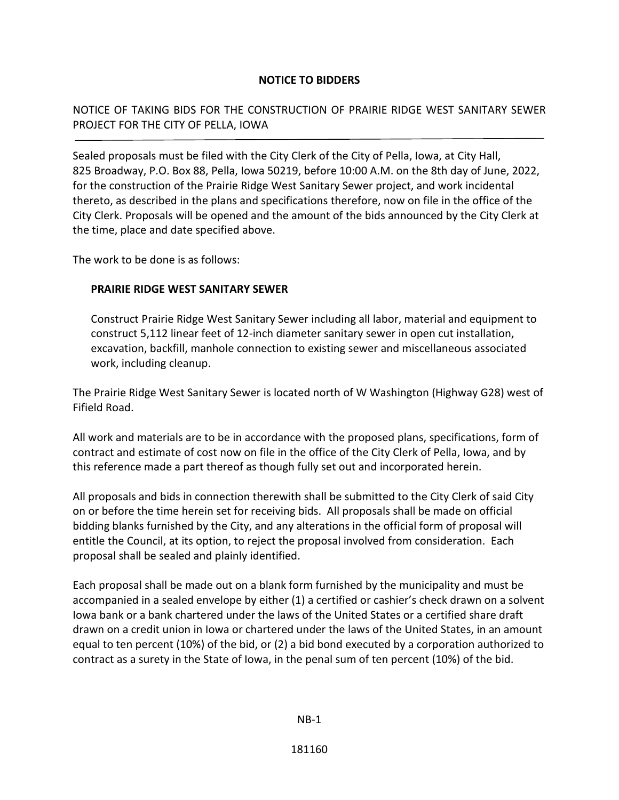## **NOTICE TO BIDDERS**

NOTICE OF TAKING BIDS FOR THE CONSTRUCTION OF PRAIRIE RIDGE WEST SANITARY SEWER PROJECT FOR THE CITY OF PELLA, IOWA

Sealed proposals must be filed with the City Clerk of the City of Pella, Iowa, at City Hall, 825 Broadway, P.O. Box 88, Pella, Iowa 50219, before 10:00 A.M. on the 8th day of June, 2022, for the construction of the Prairie Ridge West Sanitary Sewer project, and work incidental thereto, as described in the plans and specifications therefore, now on file in the office of the City Clerk. Proposals will be opened and the amount of the bids announced by the City Clerk at the time, place and date specified above.

The work to be done is as follows:

## **PRAIRIE RIDGE WEST SANITARY SEWER**

Construct Prairie Ridge West Sanitary Sewer including all labor, material and equipment to construct 5,112 linear feet of 12-inch diameter sanitary sewer in open cut installation, excavation, backfill, manhole connection to existing sewer and miscellaneous associated work, including cleanup.

The Prairie Ridge West Sanitary Sewer is located north of W Washington (Highway G28) west of Fifield Road.

All work and materials are to be in accordance with the proposed plans, specifications, form of contract and estimate of cost now on file in the office of the City Clerk of Pella, Iowa, and by this reference made a part thereof as though fully set out and incorporated herein.

All proposals and bids in connection therewith shall be submitted to the City Clerk of said City on or before the time herein set for receiving bids. All proposals shall be made on official bidding blanks furnished by the City, and any alterations in the official form of proposal will entitle the Council, at its option, to reject the proposal involved from consideration. Each proposal shall be sealed and plainly identified.

Each proposal shall be made out on a blank form furnished by the municipality and must be accompanied in a sealed envelope by either (1) a certified or cashier's check drawn on a solvent Iowa bank or a bank chartered under the laws of the United States or a certified share draft drawn on a credit union in Iowa or chartered under the laws of the United States, in an amount equal to ten percent (10%) of the bid, or (2) a bid bond executed by a corporation authorized to contract as a surety in the State of Iowa, in the penal sum of ten percent (10%) of the bid.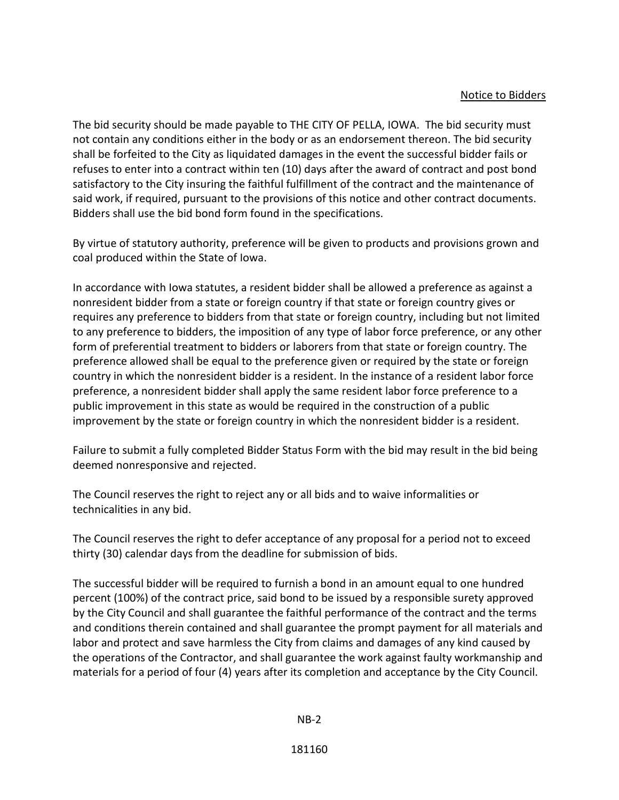## Notice to Bidders

The bid security should be made payable to THE CITY OF PELLA, IOWA. The bid security must not contain any conditions either in the body or as an endorsement thereon. The bid security shall be forfeited to the City as liquidated damages in the event the successful bidder fails or refuses to enter into a contract within ten (10) days after the award of contract and post bond satisfactory to the City insuring the faithful fulfillment of the contract and the maintenance of said work, if required, pursuant to the provisions of this notice and other contract documents. Bidders shall use the bid bond form found in the specifications.

By virtue of statutory authority, preference will be given to products and provisions grown and coal produced within the State of Iowa.

In accordance with Iowa statutes, a resident bidder shall be allowed a preference as against a nonresident bidder from a state or foreign country if that state or foreign country gives or requires any preference to bidders from that state or foreign country, including but not limited to any preference to bidders, the imposition of any type of labor force preference, or any other form of preferential treatment to bidders or laborers from that state or foreign country. The preference allowed shall be equal to the preference given or required by the state or foreign country in which the nonresident bidder is a resident. In the instance of a resident labor force preference, a nonresident bidder shall apply the same resident labor force preference to a public improvement in this state as would be required in the construction of a public improvement by the state or foreign country in which the nonresident bidder is a resident.

Failure to submit a fully completed Bidder Status Form with the bid may result in the bid being deemed nonresponsive and rejected.

The Council reserves the right to reject any or all bids and to waive informalities or technicalities in any bid.

The Council reserves the right to defer acceptance of any proposal for a period not to exceed thirty (30) calendar days from the deadline for submission of bids.

The successful bidder will be required to furnish a bond in an amount equal to one hundred percent (100%) of the contract price, said bond to be issued by a responsible surety approved by the City Council and shall guarantee the faithful performance of the contract and the terms and conditions therein contained and shall guarantee the prompt payment for all materials and labor and protect and save harmless the City from claims and damages of any kind caused by the operations of the Contractor, and shall guarantee the work against faulty workmanship and materials for a period of four (4) years after its completion and acceptance by the City Council.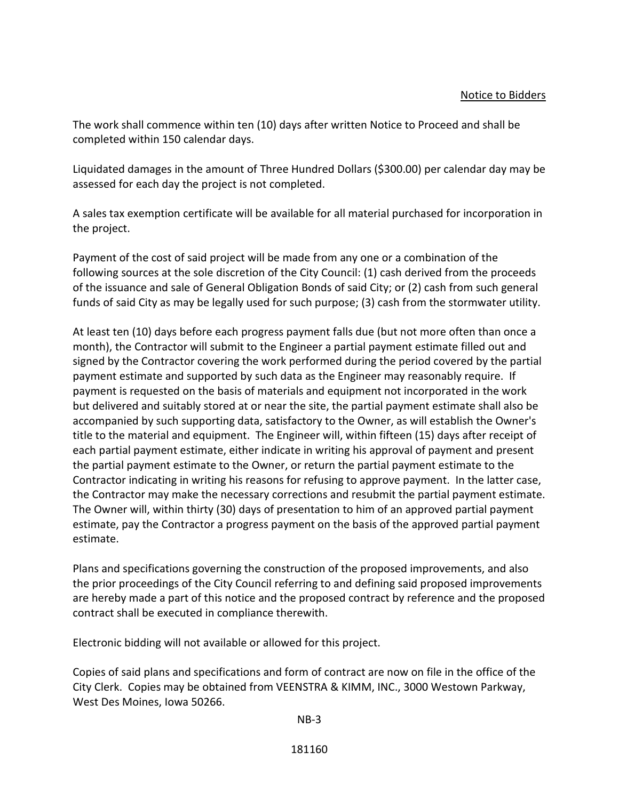The work shall commence within ten (10) days after written Notice to Proceed and shall be completed within 150 calendar days.

Liquidated damages in the amount of Three Hundred Dollars (\$300.00) per calendar day may be assessed for each day the project is not completed.

A sales tax exemption certificate will be available for all material purchased for incorporation in the project.

Payment of the cost of said project will be made from any one or a combination of the following sources at the sole discretion of the City Council: (1) cash derived from the proceeds of the issuance and sale of General Obligation Bonds of said City; or (2) cash from such general funds of said City as may be legally used for such purpose; (3) cash from the stormwater utility.

At least ten (10) days before each progress payment falls due (but not more often than once a month), the Contractor will submit to the Engineer a partial payment estimate filled out and signed by the Contractor covering the work performed during the period covered by the partial payment estimate and supported by such data as the Engineer may reasonably require. If payment is requested on the basis of materials and equipment not incorporated in the work but delivered and suitably stored at or near the site, the partial payment estimate shall also be accompanied by such supporting data, satisfactory to the Owner, as will establish the Owner's title to the material and equipment. The Engineer will, within fifteen (15) days after receipt of each partial payment estimate, either indicate in writing his approval of payment and present the partial payment estimate to the Owner, or return the partial payment estimate to the Contractor indicating in writing his reasons for refusing to approve payment. In the latter case, the Contractor may make the necessary corrections and resubmit the partial payment estimate. The Owner will, within thirty (30) days of presentation to him of an approved partial payment estimate, pay the Contractor a progress payment on the basis of the approved partial payment estimate.

Plans and specifications governing the construction of the proposed improvements, and also the prior proceedings of the City Council referring to and defining said proposed improvements are hereby made a part of this notice and the proposed contract by reference and the proposed contract shall be executed in compliance therewith.

Electronic bidding will not available or allowed for this project.

Copies of said plans and specifications and form of contract are now on file in the office of the City Clerk. Copies may be obtained from VEENSTRA & KIMM, INC., 3000 Westown Parkway, West Des Moines, Iowa 50266.